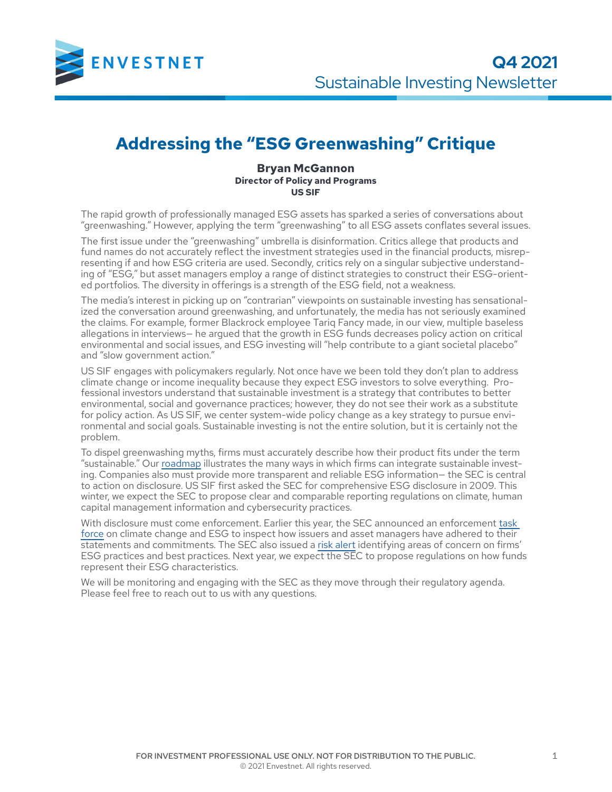

## **Addressing the "ESG Greenwashing" Critique**

**Bryan McGannon Director of Policy and Programs US SIF**

The rapid growth of professionally managed ESG assets has sparked a series of conversations about "greenwashing." However, applying the term "greenwashing" to all ESG assets conflates several issues.

The first issue under the "greenwashing" umbrella is disinformation. Critics allege that products and fund names do not accurately reflect the investment strategies used in the financial products, misrepresenting if and how ESG criteria are used. Secondly, critics rely on a singular subjective understanding of "ESG," but asset managers employ a range of distinct strategies to construct their ESG-oriented portfolios. The diversity in offerings is a strength of the ESG field, not a weakness.

The media's interest in picking up on "contrarian" viewpoints on sustainable investing has sensationalized the conversation around greenwashing, and unfortunately, the media has not seriously examined the claims. For example, former Blackrock employee Tariq Fancy made, in our view, multiple baseless allegations in interviews— he argued that the growth in ESG funds decreases policy action on critical environmental and social issues, and ESG investing will "help contribute to a giant societal placebo" and "slow government action."

US SIF engages with policymakers regularly. Not once have we been told they don't plan to address climate change or income inequality because they expect ESG investors to solve everything. Professional investors understand that sustainable investment is a strategy that contributes to better environmental, social and governance practices; however, they do not see their work as a substitute for policy action. As US SIF, we center system-wide policy change as a key strategy to pursue environmental and social goals. Sustainable investing is not the entire solution, but it is certainly not the problem.

To dispel greenwashing myths, firms must accurately describe how their product fits under the term "sustainable." Our [roadmap](https://www.ussif.org/store_product.asp?prodid=36) illustrates the many ways in which firms can integrate sustainable investing. Companies also must provide more transparent and reliable ESG information— the SEC is central to action on disclosure. US SIF first asked the SEC for comprehensive ESG disclosure in 2009. This winter, we expect the SEC to propose clear and comparable reporting regulations on climate, human capital management information and cybersecurity practices.

With disclosure must come enforcement. Earlier this year, the SEC announced an enforcement [task](https://www.sec.gov/news/press-release/2021-42)  [force](https://www.sec.gov/news/press-release/2021-42) on climate change and ESG to inspect how issuers and asset managers have adhered to their statements and commitments. The SEC also issued a [risk alert](https://www.sec.gov/files/esg-risk-alert.pdf) identifying areas of concern on firms' ESG practices and best practices. Next year, we expect the SEC to propose regulations on how funds represent their ESG characteristics.

We will be monitoring and engaging with the SEC as they move through their regulatory agenda. Please feel free to reach out to us with any questions.